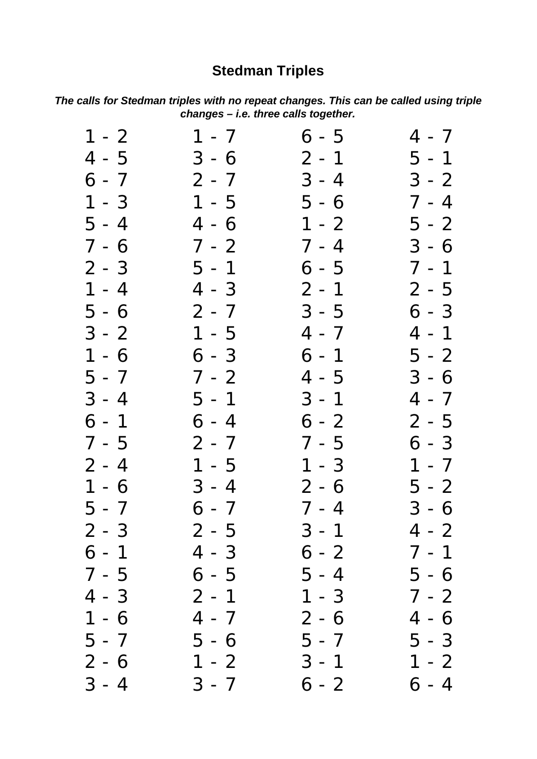## **Stedman Triples**

*The calls for Stedman triples with no repeat changes. This can be called using triple changes – i.e. three calls together.*

| $1 - 2$ | $1 - 7$ | $6 - 5$ | $4 - 7$ |
|---------|---------|---------|---------|
| $4 - 5$ | $3 - 6$ | $2 - 1$ | $5 - 1$ |
| $6 - 7$ | $2 - 7$ | $3 - 4$ | $3 - 2$ |
| $1 - 3$ | $1 - 5$ | $5 - 6$ | $7 - 4$ |
| $5 - 4$ | $4 - 6$ | $1 - 2$ | $5 - 2$ |
| $7 - 6$ | $7 - 2$ | $7 - 4$ | $3 - 6$ |
| $2 - 3$ | $5 - 1$ | $6 - 5$ | $7 - 1$ |
| $1 - 4$ | $4 - 3$ | $2 - 1$ | $2 - 5$ |
| $5 - 6$ | $2 - 7$ | $3 - 5$ | $6 - 3$ |
| $3 - 2$ | $1 - 5$ | $4 - 7$ | $4 - 1$ |
| $1 - 6$ | $6 - 3$ | $6 - 1$ | $5 - 2$ |
| $5 - 7$ | $7 - 2$ | $4 - 5$ | $3 - 6$ |
| $3 - 4$ | $5 - 1$ | $3 - 1$ | $4 - 7$ |
| $6 - 1$ | $6 - 4$ | $6 - 2$ | $2 - 5$ |
| $7 - 5$ | $2 - 7$ | $7 - 5$ | $6 - 3$ |
| $2 - 4$ | $1 - 5$ | $1 - 3$ | $1 - 7$ |
| $1 - 6$ | $3 - 4$ | $2 - 6$ | $5 - 2$ |
| $5 - 7$ | $6 - 7$ | $7 - 4$ | $3 - 6$ |
| $2 - 3$ | $2 - 5$ | $3 - 1$ | $4 - 2$ |
| $6 - 1$ | $4 - 3$ | $6 - 2$ | $7 - 1$ |
| $7 - 5$ | $6 - 5$ | 5 - 4   | 5 - 6   |
| $4 - 3$ | $2 - 1$ | $1 - 3$ | $7 - 2$ |
| $1 - 6$ | 4 - 7   | 2 - 6   | 4 - 6   |
| $5 - 7$ | 5 - 6   | 5 - 7   | $5 - 3$ |
| $2 - 6$ | $1 - 2$ | $3 - 1$ | $1 - 2$ |
| $3 - 4$ | $3 - 7$ | 6 - 2   | 6 - 4   |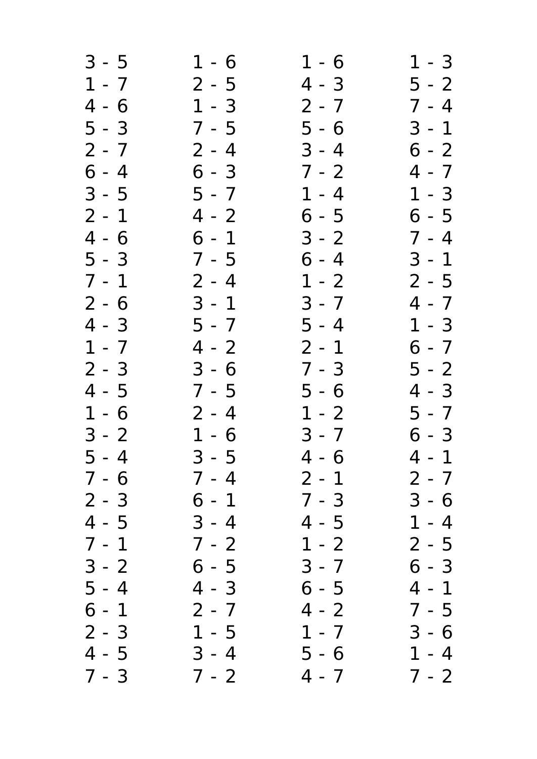| $3 - 5$ | $1 - 6$ | $1 - 6$ | $1 - 3$    |
|---------|---------|---------|------------|
| $1 - 7$ | 2 - 5   | $4 - 3$ | $5 - 2$    |
| $4 - 6$ | $1 - 3$ | 2 - 7   | $7 - 4$    |
| $5 - 3$ | 7 - 5   | $5 - 6$ | $3 - 1$    |
| $2 - 7$ | 2 - 4   | $3 - 4$ | $6 - 2$    |
| $6 - 4$ | $6 - 3$ | 7 - 2   | 4 - 7      |
| $3 - 5$ | $5 - 7$ | $1 - 4$ | $1 - 3$    |
| $2 - 1$ | $4 - 2$ | 6 - 5   | $6 - 5$    |
| $4 - 6$ | $6 - 1$ | $3 - 2$ | $7 - 4$    |
| $5 - 3$ | 7 - 5   | $6 - 4$ | $3 - 1$    |
| $7 - 1$ | 2 - 4   | $1 - 2$ | $2 - 5$    |
| $2 - 6$ | $3 - 1$ | $3 - 7$ | 4 - 7      |
| $4 - 3$ | 5 - 7   | $5 - 4$ | $1 - 3$    |
| $1 - 7$ | $4 - 2$ | $2 - 1$ | $6 - 7$    |
| $2 - 3$ | $3 - 6$ | $7 - 3$ | $5 - 2$    |
| $4 - 5$ | 7 - 5   | 5 - 6   | 4 - 3      |
| $1 - 6$ | $2 - 4$ | $1 - 2$ | 5 - 7      |
| $3 - 2$ | $1 - 6$ | $3 - 7$ | $6 - 3$    |
| $5 - 4$ | $3 - 5$ | $4 - 6$ | $4 - 1$    |
| 7 - 6   | 7 - 4   | 2 - 1   | 2 - 7      |
| $2 - 3$ | 6 - 1   | 7 - 3   | 3 - 6      |
| $4 - 5$ | $3 - 4$ | 4 - 5   | $-4$<br>1. |
| $7 - 1$ | 7 - 2   | 1 - 2   | 2 - 5      |
| $3 - 2$ | 6 - 5   | $3 - 7$ | 6 - 3      |
| $5 - 4$ | 4 - 3   | 6 - 5   | 4 - 1      |
| 6 - 1   | 2 - 7   | 4 - 2   | 7 - 5      |
| $2 - 3$ | 1 - 5   | $1 - 7$ | 3 - 6      |
| 4 - 5   | $3 - 4$ | 5 - 6   | $1 - 4$    |
| $7 - 3$ | $7 - 2$ | $4 - 7$ | $7 - 2$    |
|         |         |         |            |